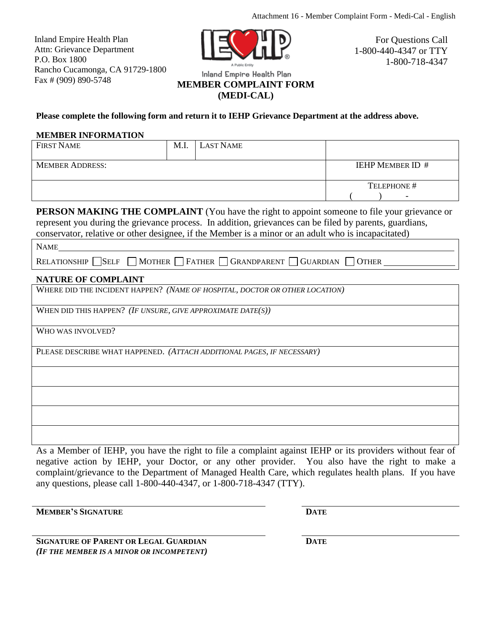Inland Empire Health Plan Attn: Grievance Department P.O. Box 1800 Rancho Cucamonga, CA 91729-1800 Fax # (909) 890-5748



For Questions Call 1-800-440-4347 or TTY 1-800-718-4347

# Inland Empire Health Plan

# **MEMBER COMPLAINT FORM**

**(MEDI-CAL)**

## **Please complete the following form and return it to IEHP Grievance Department at the address above.**

#### **MEMBER INFORMATION**

| <b>FIRST NAME</b>      | M.I. | <b>LAST NAME</b> |                          |
|------------------------|------|------------------|--------------------------|
| <b>MEMBER ADDRESS:</b> |      |                  | <b>IEHP MEMBER ID #</b>  |
|                        |      |                  | TELEPHONE #              |
|                        |      |                  | $\overline{\phantom{0}}$ |

**PERSON MAKING THE COMPLAINT** (You have the right to appoint someone to file your grievance or represent you during the grievance process. In addition, grievances can be filed by parents, guardians,

conservator, relative or other designee, if the Member is a minor or an adult who is incapacitated)

RELATIONSHIPSELFMOTHER FATHER GRANDPARENT GUARDIAN OTHER

### **NATURE OF COMPLAINT**

WHERE DID THE INCIDENT HAPPEN? *(NAME OF HOSPITAL, DOCTOR OR OTHER LOCATION)*

WHEN DID THIS HAPPEN? *(IF UNSURE, GIVE APPROXIMATE DATE(S))*

WHO WAS INVOLVED?

PLEASE DESCRIBE WHAT HAPPENED. *(ATTACH ADDITIONAL PAGES, IF NECESSARY)*

As a Member of IEHP, you have the right to file a complaint against IEHP or its providers without fear of negative action by IEHP, your Doctor, or any other provider. You also have the right to make a complaint/grievance to the Department of Managed Health Care, which regulates health plans. If you have any questions, please call 1-800-440-4347, or 1-800-718-4347 (TTY).

**MEMBER'S SIGNATURE DATE**

**SIGNATURE OF PARENT OR LEGAL GUARDIAN**  *(IF THE MEMBER IS A MINOR OR INCOMPETENT)* **DATE**